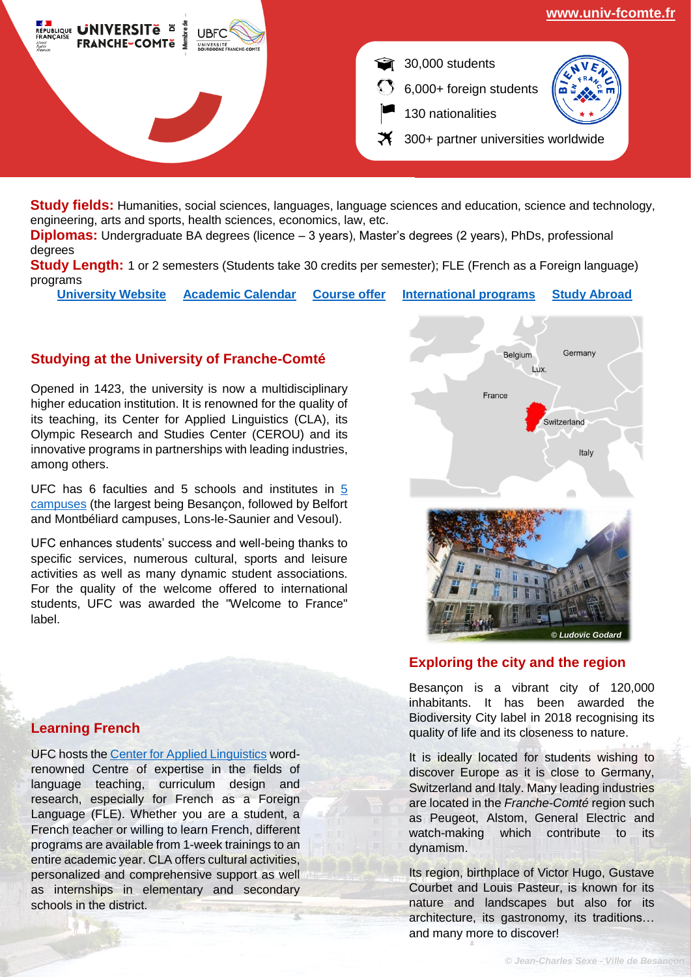

**Study fields:** Humanities, social sciences, languages, language sciences and education, science and technology, engineering, arts and sports, health sciences, economics, law, etc.

**Diplomas:** Undergraduate BA degrees (licence – 3 years), Master's degrees (2 years), PhDs, professional degrees

**Study Length:** 1 or 2 semesters (Students take 30 credits per semester); FLE (French as a Foreign language) programs

**[University Website](http://www.univ-fcomte.fr/) [Academic Calendar](https://www.univ-fcomte.fr/le-calendrier-universitaire#.YS9ut-c69hF) [Course offer](http://formation.univ-fcomte.fr/) [International programs](https://www.univ-fcomte.fr/formations-internationales#.YS9vEOc69EZ) [Study Abroad](https://www.univ-fcomte.fr/international)**

# **Studying at the University of Franche-Comté**

Opened in 1423, the university is now a multidisciplinary higher education institution. It is renowned for the quality of its teaching, its Center for Applied Linguistics (CLA), its Olympic Research and Studies Center (CEROU) and its innovative programs in partnerships with leading industries, among others.

UFC has 6 faculties and 5 schools and institutes in [5](https://www.bienvenueauxetudiants.org/les-campus?lang=en)  [campuses](https://www.bienvenueauxetudiants.org/les-campus?lang=en) (the largest being Besançon, followed by Belfort and Montbéliard campuses, Lons-le-Saunier and Vesoul).

UFC enhances students' success and well-being thanks to specific services, numerous cultural, sports and leisure activities as well as many dynamic student associations. For the quality of the welcome offered to international students, UFC was awarded the "Welcome to France" label.



## **Exploring the city and the region**

Besançon is a vibrant city of 120,000 inhabitants. It has been awarded the Biodiversity City label in 2018 recognising its quality of life and its closeness to nature.

It is ideally located for students wishing to discover Europe as it is close to Germany, Switzerland and Italy. Many leading industries are located in the *Franche-Comté* region such as Peugeot, Alstom, General Electric and watch-making which contribute to its dynamism.

Its region, birthplace of Victor Hugo, Gustave Courbet and Louis Pasteur, is known for its nature and landscapes but also for its architecture, its gastronomy, its traditions… and many more to discover!

## **Learning French**

UFC hosts the [Center for Applied Linguistics](http://cla.univ-fcomte.fr/) wordrenowned Centre of expertise in the fields of language teaching, curriculum design and research, especially for French as a Foreign Language (FLE). Whether you are a student, a French teacher or willing to learn French, different programs are available from 1-week trainings to an entire academic year. CLA offers cultural activities, personalized and comprehensive support as well as internships in elementary and secondary schools in the district.